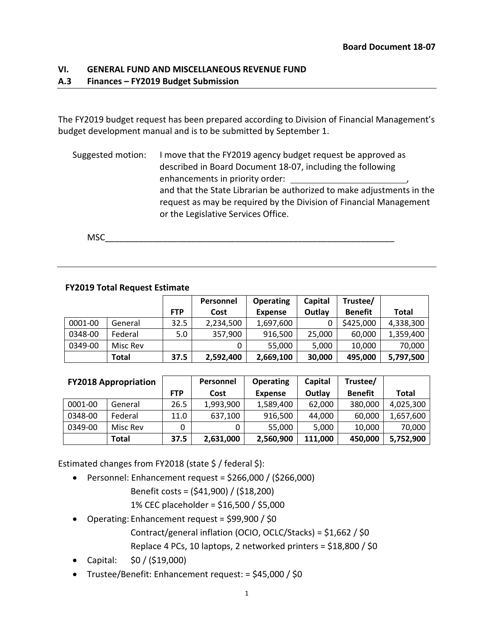# **VI. GENERAL FUND AND MISCELLANEOUS REVENUE FUND A.3 Finances – FY2019 Budget Submission**

The FY2019 budget request has been prepared according to Division of Financial Management's budget development manual and is to be submitted by September 1.

Suggested motion: I move that the FY2019 agency budget request be approved as described in Board Document 18-07, including the following enhancements in priority order: \_ and that the State Librarian be authorized to make adjustments in the request as may be required by the Division of Financial Management or the Legislative Services Office.

 $MSC$ 

|         |          |            | Personnel | <b>Operating</b> | Capital | Trustee/       |              |
|---------|----------|------------|-----------|------------------|---------|----------------|--------------|
|         |          | <b>FTP</b> | Cost      | <b>Expense</b>   | Outlay  | <b>Benefit</b> | <b>Total</b> |
| 0001-00 | General  | 32.5       | 2,234,500 | 1,697,600        |         | \$425,000      | 4,338,300    |
| 0348-00 | Federal  | 5.0        | 357,900   | 916,500          | 25,000  | 60,000         | 1,359,400    |
| 0349-00 | Misc Rev |            | 0         | 55,000           | 5,000   | 10,000         | 70,000       |
|         | Total    | 37.5       | 2,592,400 | 2,669,100        | 30,000  | 495,000        | 5,797,500    |

## **FY2019 Total Request Estimate**

|         | <b>FY2018 Appropriation</b> |            | Personnel | <b>Operating</b> | Capital | Trustee/       |           |
|---------|-----------------------------|------------|-----------|------------------|---------|----------------|-----------|
|         |                             | <b>FTP</b> | Cost      | <b>Expense</b>   | Outlay  | <b>Benefit</b> | Total     |
| 0001-00 | General                     | 26.5       | 1,993,900 | 1,589,400        | 62,000  | 380,000        | 4,025,300 |
| 0348-00 | Federal                     | 11.0       | 637,100   | 916,500          | 44,000  | 60,000         | 1,657,600 |
| 0349-00 | Misc Rev                    | 0          |           | 55,000           | 5,000   | 10,000         | 70,000    |
|         | Total                       | 37.5       | 2,631,000 | 2,560,900        | 111,000 | 450,000        | 5,752,900 |

Estimated changes from FY2018 (state \$ / federal \$):

• Personnel: Enhancement request =  $$266,000 / ($266,000)$ 

Benefit costs = (\$41,900) / (\$18,200)

1% CEC placeholder = \$16,500 / \$5,000

- Operating: Enhancement request = \$99,900 / \$0
	- Contract/general inflation (OCIO, OCLC/Stacks) = \$1,662 / \$0 Replace 4 PCs, 10 laptops, 2 networked printers = \$18,800 / \$0
- Capital: \$0 / (\$19,000)
- Trustee/Benefit: Enhancement request: = \$45,000 / \$0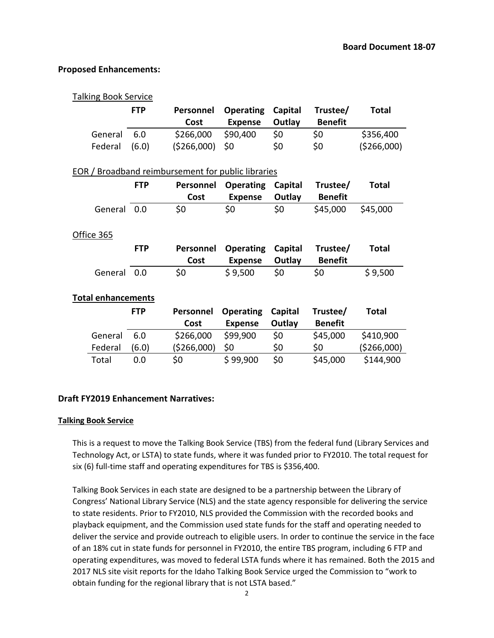### **Proposed Enhancements:**

#### Talking Book Service

|                                                           | <b>FTP</b> | Personnel<br>Cost | <b>Operating</b><br><b>Expense</b> | Capital<br>Outlay | Trustee/<br><b>Benefit</b> | <b>Total</b> |  |  |  |
|-----------------------------------------------------------|------------|-------------------|------------------------------------|-------------------|----------------------------|--------------|--|--|--|
| General                                                   | 6.0        | \$266,000         | \$90,400                           | \$0               | \$0                        | \$356,400    |  |  |  |
| Federal                                                   | (6.0)      | ( \$266,000]      | \$0                                | \$0               | \$0                        | ( \$266,000] |  |  |  |
| <b>EOR / Broadband reimbursement for public libraries</b> |            |                   |                                    |                   |                            |              |  |  |  |
|                                                           | <b>FTP</b> | Personnel         | <b>Operating</b>                   | Capital           | Trustee/                   | Total        |  |  |  |
|                                                           |            | Cost              | <b>Expense</b>                     | Outlay            | <b>Benefit</b>             |              |  |  |  |
| General                                                   | 0.0        | \$0               | \$0                                | \$0               | \$45,000                   | \$45,000     |  |  |  |
| Office 365                                                |            |                   |                                    |                   |                            |              |  |  |  |
|                                                           | <b>FTP</b> | Personnel         | <b>Operating</b>                   | Capital           | Trustee/                   | Total        |  |  |  |
|                                                           |            | Cost              | <b>Expense</b>                     | Outlay            | <b>Benefit</b>             |              |  |  |  |
| General                                                   | 0.0        | \$0               | \$9,500                            | \$0               | \$0                        | \$9,500      |  |  |  |
| <b>Total enhancements</b>                                 |            |                   |                                    |                   |                            |              |  |  |  |
|                                                           | <b>FTP</b> | Personnel         | <b>Operating</b>                   | Capital           | Trustee/                   | Total        |  |  |  |
|                                                           |            | Cost              | <b>Expense</b>                     | Outlay            | <b>Benefit</b>             |              |  |  |  |
| General                                                   | 6.0        | \$266,000         | \$99,900                           | \$0               | \$45,000                   | \$410,900    |  |  |  |
| Federal                                                   | (6.0)      | (\$266,000)       | \$0                                | \$0               | \$0                        | (\$266,000)  |  |  |  |
| Total                                                     | 0.0        | \$0               | \$99,900                           | \$0               | \$45,000                   | \$144,900    |  |  |  |

#### **Draft FY2019 Enhancement Narratives:**

#### **Talking Book Service**

This is a request to move the Talking Book Service (TBS) from the federal fund (Library Services and Technology Act, or LSTA) to state funds, where it was funded prior to FY2010. The total request for six (6) full-time staff and operating expenditures for TBS is \$356,400.

Talking Book Services in each state are designed to be a partnership between the Library of Congress' National Library Service (NLS) and the state agency responsible for delivering the service to state residents. Prior to FY2010, NLS provided the Commission with the recorded books and playback equipment, and the Commission used state funds for the staff and operating needed to deliver the service and provide outreach to eligible users. In order to continue the service in the face of an 18% cut in state funds for personnel in FY2010, the entire TBS program, including 6 FTP and operating expenditures, was moved to federal LSTA funds where it has remained. Both the 2015 and 2017 NLS site visit reports for the Idaho Talking Book Service urged the Commission to "work to obtain funding for the regional library that is not LSTA based."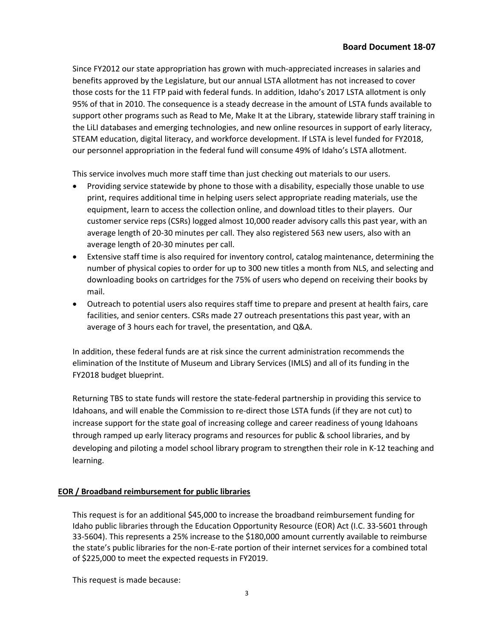Since FY2012 our state appropriation has grown with much-appreciated increases in salaries and benefits approved by the Legislature, but our annual LSTA allotment has not increased to cover those costs for the 11 FTP paid with federal funds. In addition, Idaho's 2017 LSTA allotment is only 95% of that in 2010. The consequence is a steady decrease in the amount of LSTA funds available to support other programs such as Read to Me, Make It at the Library, statewide library staff training in the LiLI databases and emerging technologies, and new online resources in support of early literacy, STEAM education, digital literacy, and workforce development. If LSTA is level funded for FY2018, our personnel appropriation in the federal fund will consume 49% of Idaho's LSTA allotment.

This service involves much more staff time than just checking out materials to our users.

- Providing service statewide by phone to those with a disability, especially those unable to use print, requires additional time in helping users select appropriate reading materials, use the equipment, learn to access the collection online, and download titles to their players. Our customer service reps (CSRs) logged almost 10,000 reader advisory calls this past year, with an average length of 20-30 minutes per call. They also registered 563 new users, also with an average length of 20-30 minutes per call.
- Extensive staff time is also required for inventory control, catalog maintenance, determining the number of physical copies to order for up to 300 new titles a month from NLS, and selecting and downloading books on cartridges for the 75% of users who depend on receiving their books by mail.
- Outreach to potential users also requires staff time to prepare and present at health fairs, care facilities, and senior centers. CSRs made 27 outreach presentations this past year, with an average of 3 hours each for travel, the presentation, and Q&A.

In addition, these federal funds are at risk since the current administration recommends the elimination of the Institute of Museum and Library Services (IMLS) and all of its funding in the FY2018 budget blueprint.

Returning TBS to state funds will restore the state-federal partnership in providing this service to Idahoans, and will enable the Commission to re-direct those LSTA funds (if they are not cut) to increase support for the state goal of increasing college and career readiness of young Idahoans through ramped up early literacy programs and resources for public & school libraries, and by developing and piloting a model school library program to strengthen their role in K-12 teaching and learning.

#### **EOR / Broadband reimbursement for public libraries**

This request is for an additional \$45,000 to increase the broadband reimbursement funding for Idaho public libraries through the Education Opportunity Resource (EOR) Act (I.C. 33-5601 through 33-5604). This represents a 25% increase to the \$180,000 amount currently available to reimburse the state's public libraries for the non-E-rate portion of their internet services for a combined total of \$225,000 to meet the expected requests in FY2019.

This request is made because: